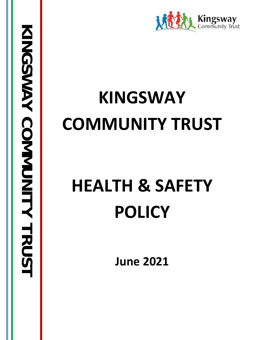

# **KINGSWAY COMMUNITY TRUST**

# **HEALTH & SAFETY POLICY**

**June 2021**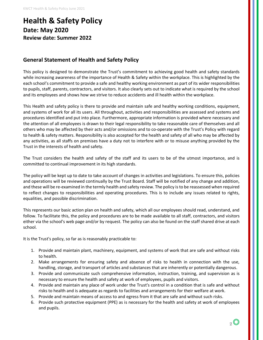## **Health & Safety Policy Date: May 2020 Review date: Summer 2022**

#### **General Statement of Health and Safety Policy**

This policy is designed to demonstrate the Trust's commitment to achieving good health and safety standards while increasing awareness of the importance of Health & Safety within the workplace. This is highlighted by the each school's commitment to provide a safe and healthy working environment as part of its wider responsibilities to pupils, staff, parents, contractors, and visitors. It also clearly sets out to indicate what is required by the school and its employees and shows how we strive to reduce accidents and ill health within the workplace.

This Health and safety policy is there to provide and maintain safe and healthy working conditions, equipment, and systems of work for all its users. All throughout, activities and responsibilities are assessed and systems and procedures identified and put into place. Furthermore, appropriate information is provided where necessary and the attention of all employees is drawn to their legal responsibility to take reasonable care of themselves and all others who may be affected by their acts and/or omissions and to co-operate with the Trust's Policy with regard to health & safety matters. Responsibility is also accepted for the health and safety of all who may be affected by any activities, as all staffs on premises have a duty not to interfere with or to misuse anything provided by the Trust in the interests of health and safety.

The Trust considers the health and safety of the staff and its users to be of the utmost importance, and is committed to continual improvement in its high standards.

The policy will be kept up to date to take account of changes in activities and legislations. To ensure this, policies and operations will be reviewed continually by the Trust Board. Staff will be notified of any change and addition, and these will be re-examined in the termly health and safety review. The policy is to be reassessed when required to reflect changes to responsibilities and operating procedures. This is to include any issues related to rights, equalities, and possible discrimination.

This represents our basic action plan on health and safety, which all our employees should read, understand, and follow. To facilitate this, the policy and procedures are to be made available to all staff, contractors, and visitors either via the school's web page and/or by request. The policy can also be found on the staff shared drive at each school.

It is the Trust's policy, so far as is reasonably practicable to:

- 1. Provide and maintain plant, machinery, equipment, and systems of work that are safe and without risks to health.
- 2. Make arrangements for ensuring safety and absence of risks to health in connection with the use, handling, storage, and transport of articles and substances that are inherently or potentially dangerous.
- 3. Provide and communicate such comprehensive information, instruction, training, and supervision as is necessary to ensure the health and safety at work of employees, pupils and visitors.
- 4. Provide and maintain any place of work under the Trust's control in a condition that is safe and without risks to health and is adequate as regards to facilities and arrangements for their welfare at work.
- 5. Provide and maintain means of access to and egress from it that are safe and without such risks.
- 6. Provide such protective equipment (PPE) as is necessary for the health and safety at work of employees and pupils.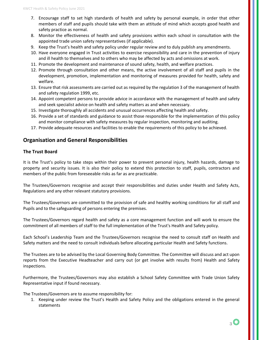- 7. Encourage staff to set high standards of health and safety by personal example, in order that other members of staff and pupils should take with them an attitude of mind which accepts good health and safety practice as normal.
- 8. Monitor the effectiveness of health and safety provisions within each school in consultation with the appointed trade union safety representatives (if applicable).
- 9. Keep the Trust's health and safety policy under regular review and to duly publish any amendments.
- 10. Have everyone engaged in Trust activities to exercise responsibility and care in the prevention of injury and ill health to themselves and to others who may be affected by acts and omissions at work.
- 11. Promote the development and maintenance of sound safety, health, and welfare practices.
- 12. Promote through consultation and other means, the active involvement of all staff and pupils in the development, promotion, implementation and monitoring of measures provided for health, safety and welfare.
- 13. Ensure that risk assessments are carried out as required by the regulation 3 of the management of health and safety regulation 1999, etc.
- 14. Appoint competent persons to provide advice in accordance with the management of health and safety and seek specialist advice on health and safety matters as and when necessary.
- 15. Investigate thoroughly all accidents and unusual occurrences affecting health and safety.
- 16. Provide a set of standards and guidance to assist those responsible for the implementation of this policy and monitor compliance with safety measures by regular inspection, monitoring and auditing.
- 17. Provide adequate resources and facilities to enable the requirements of this policy to be achieved.

#### **Organisation and General Responsibilities**

#### **The Trust Board**

It is the Trust's policy to take steps within their power to prevent personal injury, health hazards, damage to property and security issues. It is also their policy to extend this protection to staff, pupils, contractors and members of the public from foreseeable risks as far as are practicable.

The Trustees/Governors recognise and accept their responsibilities and duties under Health and Safety Acts, Regulations and any other relevant statutory provisions.

The Trustees/Governors are committed to the provision of safe and healthy working conditions for all staff and Pupils and to the safeguarding of persons entering the premises.

The Trustees/Governors regard health and safety as a core management function and will work to ensure the commitment of all members of staff to the full implementation of the Trust's Health and Safety policy.

Each School's Leadership Team and the Trustees/Governors recognise the need to consult staff on Health and Safety matters and the need to consult individuals before allocating particular Health and Safety functions.

The Trustees are to be advised by the Local Governing Body Committee. The Committee will discuss and act upon reports from the Executive Headteacher and carry out (or get involve with results from) Health and Safety inspections.

Furthermore, the Trustees/Governors may also establish a School Safety Committee with Trade Union Safety Representative input if found necessary.

The Trustees/Governors are to assume responsibility for:

1. Keeping under review the Trust's Health and Safety Policy and the obligations entered in the general statements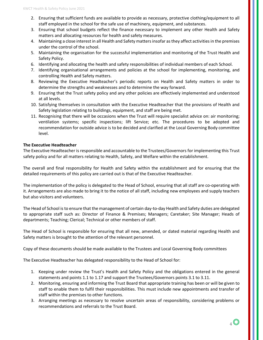- 2. Ensuring that sufficient funds are available to provide as necessary, protective clothing/equipment to all staff employed in the school for the safe use of machinery, equipment, and substances.
- 3. Ensuring that school budgets reflect the finance necessary to implement any other Health and Safety matters and allocating resources for health and safety measures.
- 4. Maintaining a close interest in all Health and Safety matters insofar as they affect activities in the premises under the control of the school.
- 5. Maintaining the organisation for the successful implementation and monitoring of the Trust Health and Safety Policy.
- 6. Identifying and allocating the health and safety responsibilities of individual members of each School.
- 7. Identifying organisational arrangements and policies at the school for implementing, monitoring, and controlling Health and Safety matters.
- 8. Reviewing the Executive Headteacher's periodic reports on Health and Safety matters in order to determine the strengths and weaknesses and to determine the way forward.
- 9. Ensuring that the Trust safety policy and any other policies are effectively implemented and understood at all levels.
- 10. Satisfying themselves in consultation with the Executive Headteacher that the provisions of Health and Safety legislation relating to buildings, equipment, and staff are being met.
- 11. Recognising that there will be occasions when the Trust will require specialist advice on: air monitoring; ventilation systems; specific inspections; lift Service; etc. The procedures to be adopted and recommendation for outside advice is to be decided and clarified at the Local Governing Body committee level.

#### **The Executive Headteacher**

The Executive Headteacher is responsible and accountable to the Trustees/Governors for implementing this Trust safety policy and for all matters relating to Health, Safety, and Welfare within the establishment.

The overall and final responsibility for Health and Safety within the establishment and for ensuring that the detailed requirements of this policy are carried out is that of the Executive Headteacher.

The implementation of the policy is delegated to the Head of School, ensuring that all staff are co-operating with it. Arrangements are also made to bring it to the notice of all staff, including new employees and supply teachers but also visitors and volunteers.

The Head of School is to ensure that the management of certain day-to-day Health and Safety duties are delegated to appropriate staff such as: Director of Finance & Premises; Managers; Caretaker; Site Manager; Heads of departments; Teaching; Clerical; Technical or other members of staff.

The Head of School is responsible for ensuring that all new, amended, or dated material regarding Health and Safety matters is brought to the attention of the relevant personnel.

Copy of these documents should be made available to the Trustees and Local Governing Body committees

The Executive Headteacher has delegated responsibility to the Head of School for:

- 1. Keeping under review the Trust's Health and Safety Policy and the obligations entered in the general statements and points 1.1 to 1.17 and support the Trustees/Governors points 3.1 to 3.11.
- 2. Monitoring, ensuring and informing the Trust Board that appropriate training has been or will be given to staff to enable them to fulfil their responsibilities. This must include new appointments and transfer of staff within the premises to other functions.
- 3. Arranging meetings as necessary to resolve uncertain areas of responsibility, considering problems or recommendations and referrals to the Trust Board.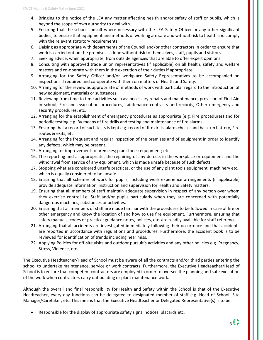- 4. Bringing to the notice of the LEA any matter affecting health and/or safety of staff or pupils, which is beyond the scope of own authority to deal with.
- 5. Ensuring that the school consult where necessary with the LEA Safety Officer or any other significant bodies, to ensure that equipment and methods of working are safe and without risk to health and comply with the relevant statutory requirements.
- 6. Liaising as appropriate with departments of the Council and/or other contractors in order to ensure that work is carried out on the premises is done without risk to themselves, staff, pupils and visitors.
- 7. Seeking advice, when appropriate, from outside agencies that are able to offer expert opinions.
- 8. Consulting with approved trade union representatives (if applicable) on all health, safety and welfare matters and co-operate with them in the execution of their duties if appropriate.
- 9. Arranging for the Safety Officer and/or workplace Safety Representatives to be accompanied on inspections if required and co-operate with them on matters of Health and Safety.
- 10. Arranging for the review as appropriate of methods of work with particular regard to the introduction of new equipment, materials or substances.
- 11. Reviewing from time to time activities such as: necessary repairs and maintenance; provision of First Aid in school; Fire and evacuation procedures; raintenance contracts and records; Other emergency and security procedures; etc.
- 12. Arranging for the establishment of emergency procedures as appropriate (e.g. Fire procedures) and for periodic testing e.g. By means of fire drills and testing and maintenance of fire alarms.
- 13. Ensuring that a record of such tests is kept e.g. record of fire drills, alarm checks and back-up battery, Fire routes & exits, etc.
- 14. Arranging for the frequent and regular inspection of the premises and of equipment in order to identify any defects, which may be present.
- 15. Arranging for improvement to premises; plant tools; equipment; etc.
- 16. The reporting and as appropriate, the repairing of any defects in the workplace or equipment and the withdrawal from service of any equipment, which is made unsafe because of such defects.
- 17. Stopping what are considered unsafe practices, or the use of any plant tools equipment, machinery etc., which is equally considered to be unsafe.
- 18. Ensuring that all schemes of work for pupils, including work experience arrangements (if applicable) provide adequate information, instruction and supervision for Health and Safety matters.
- 19. Ensuring that all members of staff maintain adequate supervision in respect of any person over whom they exercise control i.e. Staff and/or pupils particularly when they are concerned with potentially dangerous machines, substances or activities.
- 20. Ensuring that all members of staff are made familiar with the procedures to be followed in case of fire or other emergency and know the location of and how to use fire equipment. Furthermore, ensuring that safety manuals, codes or practice; guidance notes, policies, etc. are readily available for staff reference.
- 21. Arranging that all accidents are investigated immediately following their occurrence and that accidents are reported in accordance with regulations and procedures. Furthermore, the accident book is to be reviewed for identification of trends including near miss.
- 22. Applying Policies for off-site visits and outdoor pursuit's activities and any other policies e.g. Pregnancy, Stress, Violence, etc.

The Executive Headteacher/Head of School must be aware of all the contracts and/or third parties entering the school to undertake maintenance, service or work contracts. Furthermore, the Executive Headteacher/Head of School is to ensure that competent contractors are employed in order to oversee the planning and safe execution of the work when contractors carry out building or plant maintenance work.

Although the overall and final responsibility for Health and Safety within the School is that of the Executive Headteacher, every day functions can be delegated to designated member of staff e.g. Head of School; Site Manager/Caretaker; etc. This means that the Executive Headteacher or Delegated Representative(s) is to be:

Responsible for the display of appropriate safety signs, notices, placards etc.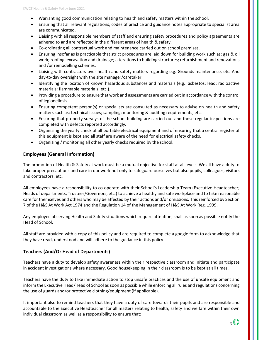- Warranting good communication relating to health and safety matters within the school.
- Ensuring that all relevant regulations, codes of practice and guidance notes appropriate to specialist area are communicated.
- Liaising with all responsible members of staff and ensuring safety procedures and policy agreements are adhered to and are reflected in the different areas of health & safety.
- Co-ordinating all contractual work and maintenance carried out on school premises.
- Ensuring insofar as is practicable that strict procedures are laid down for building work such as: gas & oil work; roofing; excavation and drainage; alterations to building structures; refurbishment and renovations and /or remodelling schemes.
- Liaising with contractors over health and safety matters regarding e.g. Grounds maintenance, etc. And day-to-day oversight with the site manager/caretaker.
- Identifying the location of known hazardous substances and materials (e.g.: asbestos; lead; radioactive materials; flammable materials; etc.).
- Providing a procedure to ensure that work and assessments are carried out in accordance with the control of legionellosis.
- Ensuring competent person(s) or specialists are consulted as necessary to advise on health and safety matters such as: technical issues; sampling; monitoring & auditing requirements; etc.
- Ensuring that property surveys of the school building are carried out and those regular inspections are completed with defects reported accordingly.
- Organising the yearly check of all portable electrical equipment and of ensuring that a central register of this equipment is kept and all staff are aware of the need for electrical safety checks.
- Organising / monitoring all other yearly checks required by the school.

#### **Employees (General Information)**

The promotion of Health & Safety at work must be a mutual objective for staff at all levels. We all have a duty to take proper precautions and care in our work not only to safeguard ourselves but also pupils, colleagues, visitors and contractors, etc.

All employees have a responsibility to co-operate with their School's Leadership Team (Executive Headteacher; Heads of departments; Trustees/Governors; etc.) to achieve a healthy and safe workplace and to take reasonable care for themselves and others who may be affected by their actions and/or omissions. This reinforced by Section 7 of the H&S At Work Act 1974 and the Regulation 14 of the Management of H&S At Work Reg. 1999.

Any employee observing Health and Safety situations which require attention, shall as soon as possible notify the Head of School.

All staff are provided with a copy of this policy and are required to complete a google form to acknowledge that they have read, understood and will adhere to the guidance in this policy

#### **Teachers (And/Or Head of Departments)**

Teachers have a duty to develop safety awareness within their respective classroom and initiate and participate in accident investigations where necessary. Good housekeeping in their classroom is to be kept at all times.

Teachers have the duty to take immediate action to stop unsafe practices and the use of unsafe equipment and inform the Executive Head/Head of School as soon as possible while enforcing all rules and regulations concerning the use of guards and/or protective clothing/equipment (if applicable).

It important also to remind teachers that they have a duty of care towards their pupils and are responsible and accountable to the Executive Headteacher for all matters relating to health, safety and welfare within their own individual classroom as well as a responsibility to ensure that: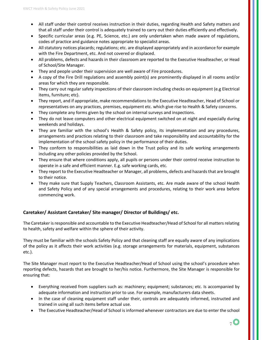- All staff under their control receives instruction in their duties, regarding Health and Safety matters and that all staff under their control is adequately trained to carry out their duties efficiently and effectively.
- Specific curricular areas (e.g. PE, Science, etc.) are only undertaken when made aware of regulations, codes of practice and guidance notes appropriate to specialist areas.
- All statutory notices placards; regulations; etc. are displayed appropriately and in accordance for example with the Fire Department, etc. And not covered or displaced.
- All problems, defects and hazards in their classroom are reported to the Executive Headteacher, or Head of School/Site Manager.
- They and people under their supervision are well aware of Fire procedures.
- A copy of the Fire Drill regulations and assembly point(s) are prominently displayed in all rooms and/or areas for which they are responsible.
- They carry out regular safety inspections of their classroom including checks on equipment (e.g Electrical items, furniture; etc).
- They report, and if appropriate, make recommendations to the Executive Headteacher, Head of School or representatives on any practices, premises, equipment etc. which give rise to Health & Safety concerns.
- They complete any forms given by the school on internal surveys and inspections.
- They do not leave computers and other electrical equipment switched on at night and especially during weekends and holidays.
- They are familiar with the school's Health & Safety policy, its implementation and any procedures, arrangements and practices relating to their classroom and take responsibility and accountability for the implementation of the school safety policy in the performance of their duties.
- They conform to responsibilities as laid down in the Trust policy and its safe working arrangements including any other policies provided by the School.
- They ensure that where conditions apply, all pupils or persons under their control receive instruction to operate in a safe and efficient manner. E.g. safe working cards, etc.
- They report to the Executive Headteacher or Manager, all problems, defects and hazards that are brought to their notice.
- They make sure that Supply Teachers, Classroom Assistants, etc. Are made aware of the school Health and Safety Policy and of any special arrangements and procedures, relating to their work area before commencing work.

#### **Caretaker/ Assistant Caretaker/ Site manager/ Director of Buildings/ etc.**

The Caretaker is responsible and accountable to the Executive Headteacher/Head of School for all matters relating to health, safety and welfare within the sphere of their activity.

They must be familiar with the schools Safety Policy and that cleaning staff are equally aware of any implications of the policy as it affects their work activities (e.g. storage arrangements for materials, equipment, substances etc.).

The Site Manager must report to the Executive Headteacher/Head of School using the school's procedure when reporting defects, hazards that are brought to her/his notice. Furthermore, the Site Manager is responsible for ensuring that:

- Everything received from suppliers such as: machinery; equipment; substances; etc. Is accompanied by adequate information and instruction prior to use. For example, manufacturers data sheets.
- In the case of cleaning equipment staff under their, controls are adequately informed, instructed and trained in using all such items before actual use.
- The Executive Headteacher/Head of School is informed whenever contractors are due to enter the school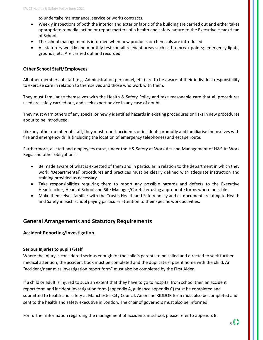to undertake maintenance, service or works contracts.

- Weekly inspections of both the interior and exterior fabric of the building are carried out and either takes appropriate remedial action or report matters of a health and safety nature to the Executive Head/Head of School.
- The school management is informed when new products or chemicals are introduced.
- All statutory weekly and monthly tests on all relevant areas such as fire break points; emergency lights; grounds; etc. Are carried out and recorded.

#### **Other School Staff/Employees**

All other members of staff (e.g. Administration personnel, etc.) are to be aware of their individual responsibility to exercise care in relation to themselves and those who work with them.

They must familiarise themselves with the Health & Safety Policy and take reasonable care that all procedures used are safely carried out, and seek expert advice in any case of doubt.

They must warn others of any special or newly identified hazards in existing procedures or risks in new procedures about to be introduced.

Like any other member of staff, they must report accidents or incidents promptly and familiarise themselves with fire and emergency drills (including the location of emergency telephones) and escape route.

Furthermore, all staff and employees must, under the H& Safety at Work Act and Management of H&S At Work Regs. and other obligations:

- Be made aware of what is expected of them and in particular in relation to the department in which they work. 'Departmental' procedures and practices must be clearly defined with adequate instruction and training provided as necessary.
- Take responsibilities requiring them to report any possible hazards and defects to the Executive Headteacher, Head of School and Site Manager/Caretaker using appropriate forms where possible.
- Make themselves familiar with the Trust's Health and Safety policy and all documents relating to Health and Safety in each school paying particular attention to their specific work activities.

#### **General Arrangements and Statutory Requirements**

#### **Accident Reporting/Investigation.**

#### **Serious Injuries to pupils/Staff**

Where the injury is considered serious enough for the child's parents to be called and directed to seek further medical attention, the accident book must be completed and the duplicate slip sent home with the child. An "accident/near miss investigation report form" must also be completed by the First Aider.

If a child or adult is injured to such an extent that they have to go to hospital from school then an accident report form and incident investigation form (appendix A, guidance appendix C) must be completed and submitted to health and safety at Manchester City Council. An online RIDDOR form must also be completed and sent to the health and safety executive in London. The chair of governors must also be informed.

For further information regarding the management of accidents in school, please refer to appendix B.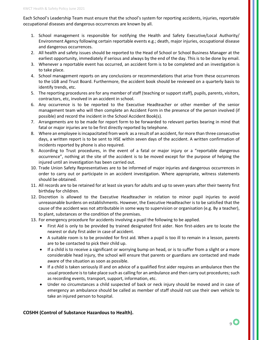Each School's Leadership Team must ensure that the school's system for reporting accidents, injuries, reportable occupational diseases and dangerous occurrences are known by all.

- 1. School management is responsible for notifying the Health and Safety Executive/Local Authority/ Environment Agency following certain reportable events e.g.; death, major injuries, occupational disease and dangerous occurrences.
- 2. All health and safety issues should be reported to the Head of School or School Business Manager at the earliest opportunity, immediately if serious and always by the end of the day. This is to be done by email.
- 3. Whenever a reportable event has occurred, an accident form is to be completed and an investigation is to take place.
- 4. School management reports on any conclusions or recommendations that arise from these occurrences to the LGB and Trust Board. Furthermore, the accident book should be reviewed on a quarterly basis to identify trends, etc.
- 5. The reporting procedures are for any member of staff (teaching or support staff), pupils, parents, visitors, contractors, etc, involved in an accident in school.
- 6. Any occurrence is to be reported to the Executive Headteacher or other member of the senior management team who will then complete an Accident Form in the presence of the person involved (if possible) and record the incident in the School Accident Book(s).
- 7. Arrangements are to be made for report form to be forwarded to relevant parties bearing in mind that fatal or major injuries are to be first directly reported by telephone.
- 8. Where an employee is incapacitated from work as a result of an accident, for more than three consecutive days, a written report is to be sent to HSE within seven days of the accident. A written confirmation of incidents reported by phone is also required.
- 9. According to Trust procedures, in the event of a fatal or major injury or a "reportable dangerous occurrence", nothing at the site of the accident is to be moved except for the purpose of helping the injured until an investigation has been carried out.
- 10. Trade Union Safety Representatives are to be informed of major injuries and dangerous occurrences in order to carry out or participate in an accident investigation. Where appropriate, witness statements should be obtained.
- 11. All records are to be retained for at least six years for adults and up to seven years after their twenty first birthday for children.
- 12. Discretion is allowed to the Executive Headteacher in relation to minor pupil injuries to avoid unreasonable burdens on establishments. However, the Executive Headteacher is to be satisfied that the cause of the accident was not attributable in some way to supervision or organisation (e.g. By a teacher), to plant, substances or the condition of the premises.
- 13. For emergency procedure for accidents involving a pupil the following to be applied.
	- First Aid is only to be provided by trained designated first aider. Non first-aiders are to locate the nearest or duty first aider in case of accident.
	- A suitable room is to be provided for first aid. When a pupil is too ill to remain in a lesson, parents are to be contacted to pick their child up.
	- If a child is to receive a significant or worrying bump on head, or is to suffer from a slight or a more considerable head injury, the school will ensure that parents or guardians are contacted and made aware of the situation as soon as possible.
	- If a child is taken seriously ill and on advice of a qualified first aider requires an ambulance then the usual procedure is to take place such as calling for an ambulance and then carry out procedures; such as recording events, transport, support, information, etc.
	- Under no circumstances a child suspected of back or neck injury should be moved and in case of emergency an ambulance should be called as member of staff should not use their own vehicle to take an injured person to hospital.

#### **COSHH (Control of Substance Hazardous to Health).**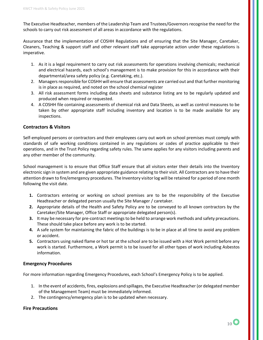The Executive Headteacher, members of the Leadership Team and Trustees/Governors recognise the need for the schools to carry out risk assessment of all areas in accordance with the regulations.

Assurance that the implementation of COSHH Regulations and of ensuring that the Site Manager, Caretaker, Cleaners, Teaching & support staff and other relevant staff take appropriate action under these regulations is imperative.

- 1. As it is a legal requirement to carry out risk assessments for operations involving chemicals; mechanical and electrical hazards, each school's management is to make provision for this in accordance with their departmental/area safety policy (e.g. Caretaking, etc.).
- 2. Managers responsible for COSHH will ensure that assessments are carried out and that further monitoring is in place as required, and noted on the school chemical register
- 3. All risk assessment forms including data sheets and substance listing are to be regularly updated and produced when required or requested.
- 4. A COSHH file containing assessments of chemical risk and Data Sheets, as well as control measures to be taken by other appropriate staff including inventory and location is to be made available for any inspections.

#### **Contractors & Visitors**

Self-employed persons or contractors and their employees carry out work on school premises must comply with standards of safe working conditions contained in any regulations or codes of practice applicable to their operations, and in the Trust Policy regarding safety rules. The same applies for any visitors including parents and any other member of the community.

School management is to ensure that Office Staff ensure that all visitors enter their details into the Inventory electronic sign in system and are given appropriate guidance relating to their visit. All Contractors are to have their attention drawn to fire/emergency procedures. The Inventory visitor log will be retained for a period of one month following the visit date.

- **1.** Contractors entering or working on school premises are to be the responsibility of the Executive Headteacher or delegated person usually the Site Manager / caretaker.
- **2.** Appropriate details of the Health and Safety Policy are to be conveyed to all known contractors by the Caretaker/Site Manager, Office Staff or appropriate delegated person(s).
- **3.** It may be necessary for pre-contract meetings to be held to arrange work methods and safety precautions. These should take place before any work is to be started.
- **4.** A safe system for maintaining the fabric of the buildings is to be in place at all time to avoid any problem or accident.
- **5.** Contractors using naked flame or hot tar at the school are to be issued with a Hot Work permit before any work is started. Furthermore, a Work permit is to be issued for all other types of work including Asbestos information.

#### **Emergency Procedures**

For more information regarding Emergency Procedures, each School's Emergency Policy is to be applied.

- 1. In the event of accidents, fires, explosions and spillages, the Executive Headteacher (or delegated member of the Management Team) must be immediately informed.
- 2. The contingency/emergency plan is to be updated when necessary.

#### **Fire Precautions**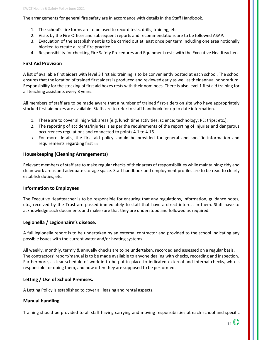The arrangements for general fire safety are in accordance with details in the Staff Handbook.

- 1. The school's fire forms are to be used to record tests, drills, training, etc.
- 2. Visits by the Fire Officer and subsequent reports and recommendations are to be followed ASAP.
- 3. Evacuation of the establishment is to be carried out at least once per term including one area notionally blocked to create a 'real' fire practice.
- 4. Responsibility for checking Fire Safety Procedures and Equipment rests with the Executive Headteacher.

#### **First Aid Provision**

A list of available first aiders with level 3 first aid training is to be conveniently posted at each school. The school ensures that the location of trained first aiders is produced and reviewed early as well as their annual honorarium. Responsibility for the stocking of first aid boxes rests with their nominees. There is also level 1 first aid training for all teaching assistants every 3 years.

All members of staff are to be made aware that a number of trained first-aiders on site who have appropriately stocked first aid boxes are available. Staffs are to refer to staff handbook for up to date information.

- 1. These are to cover all high-risk areas (e.g. lunch time activities; science; technology; PE; trips; etc.).
- 2. The reporting of accidents/injuries is as per the requirements of the reporting of injuries and dangerous occurrences regulations and connected to points 4.1 to 4.16.
- 3. For more details, the first aid policy should be provided for general and specific information and requirements regarding first aid.

#### **Housekeeping (Cleaning Arrangements)**

Relevant members of staff are to make regular checks of their areas of responsibilities while maintaining: tidy and clean work areas and adequate storage space. Staff handbook and employment profiles are to be read to clearly establish duties, etc.

#### **Information to Employees**

The Executive Headteacher is to be responsible for ensuring that any regulations, information, guidance notes, etc., received by the Trust are passed immediately to staff that have a direct interest in them. Staff have to acknowledge such documents and make sure that they are understood and followed as required.

#### **Legionella / Legionnaire's disease.**

A full legionella report is to be undertaken by an external contractor and provided to the school indicating any possible issues with the current water and/or heating systems.

All weekly, monthly, termly & annually checks are to be undertaken, recorded and assessed on a regular basis. The contractors' report/manual is to be made available to anyone dealing with checks, recording and inspection. Furthermore, a clear schedule of work in to be put in place to indicated external and internal checks, who is responsible for doing them, and how often they are supposed to be performed.

#### **Letting / Use of School Premises.**

A Letting Policy is established to cover all leasing and rental aspects.

#### **Manual handling**

Training should be provided to all staff having carrying and moving responsibilities at each school and specific

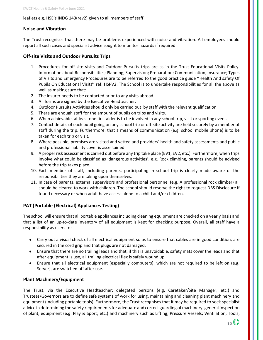#### leaflets e.g. HSE's INDG 143(rev2) given to all members of staff.

#### **Noise and Vibration**

The Trust recognises that there may be problems experienced with noise and vibration. All employees should report all such cases and specialist advice sought to monitor hazards if required.

#### **Off-site Visits and Outdoor Pursuits Trips**

- 1. Procedures for off-site visits and Outdoor Pursuits trips are as in the Trust Educational Visits Policy. Information about Responsibilities; Planning; Supervision; Preparation; Communication; Insurance; Types of Visits and Emergency Procedures are to be referred to the good practice guide ''Health And safety Of Pupils On Educational Visits'' ref: HSPV2. The School is to undertake responsibilities for all the above as well as making sure that:
- 2. The Insurer needs to be contacted prior to any visits abroad.
- 3. All forms are signed by the Executive Headteacher.
- 4. Outdoor Pursuits Activities should only be carried out by staff with the relevant qualification
- 5. There are enough staff for the amount of pupils on trips and visits.
- 6. When achievable, at least one first aider is to be involved in any school trip, visit or sporting event.
- 7. Contact details of each pupil going on any school trip or off-site activity are held securely by a member of staff during the trip. Furthermore, that a means of communication (e.g. school mobile phone) is to be taken for each trip or visit.
- 8. Where possible, premises are visited and vetted and providers' health and safety assessments and public and professional liability cover is ascertained.
- 9. A proper risk assessment is carried out before any trip take place (EV1, EV2, etc.). Furthermore, when trips involve what could be classified as 'dangerous activities', e.g. Rock climbing, parents should be advised before the trip takes place.
- 10. Each member of staff, including parents, participating in school trip is clearly made aware of the responsibilities they are taking upon themselves.
- 11. In case of parents, external supervisors and professional personnel (e.g. A professional rock climber) all should be cleared to work with children. The school should reserve the right to request DBS Disclosure if found necessary or when adult have access alone to a child and/or children.

#### **PAT (Portable (Electrical) Appliances Testing)**

The school will ensure that all portable appliances including cleaning equipment are checked on a yearly basis and that a list of an up-to-date inventory of all equipment is kept for checking purpose. Overall, all staff have a responsibility as users to:

- Carry out a visual check of all electrical equipment so as to ensure that cables are in good condition, are secured in the cord grip and that plugs are not damaged.
- Ensure that there are no trailing leads and that, if this is unavoidable, safety mats cover the leads and that after equipment is use, all trailing electrical flex is safely wound up.
- Ensure that all electrical equipment (especially computers), which are not required to be left on (e.g. Server), are switched off after use.

#### **Plant Machinery/Equipment**

The Trust, via the Executive Headteacher; delegated persons (e.g. Caretaker/Site Manager, etc.) and Trustees/Governors are to define safe systems of work for using, maintaining and cleaning plant machinery and equipment (including portable tools). Furthermore, the Trust recognises that it may be required to seek specialist advice in determining the safety requirements for adequate and correct guarding of machinery; general inspection of plant, equipment (e.g. Play & Sport; etc.) and machinery such as Lifting; Pressure Vessels; Ventilation; Tools;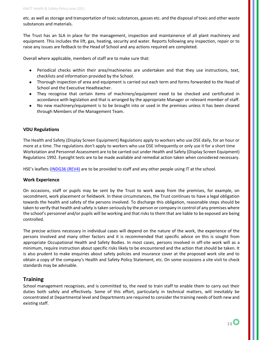etc. as well as storage and transportation of toxic substances, gasses etc. and the disposal of toxic and other waste substances and materials.

The Trust has an SLA in place for the management, inspection and maintainence of all plant machinery and equipment. This includes the lift, gas, heating, security and water. Reports following any inspection, repair or to raise any issues are fedback to the Head of School and any actions required are completed.

Overall where applicable, members of staff are to make sure that:

- Periodical checks within their area/machineries are undertaken and that they use instructions, text, checklists and information provided by the School.
- Thorough inspection of area and equipment is carried out each term and forms forwarded to the Head of School and the Executive Headteacher.
- They recognise that certain items of machinery/equipment need to be checked and certificated in accordance with legislation and that is arranged by the appropriate Manager or relevant member of staff.
- No new machinery/equipment is to be brought into or used in the premises unless it has been cleared through Members of the Management Team.

#### **VDU Regulations**

The Health and Safety (Display Screen Equipment) Regulations apply to workers who use DSE daily, for an hour or more at a time. The regulations don't apply to workers who use DSE infrequently or only use it for a short time Workstation and Personnel Assessment are to be carried out under Health and Safety (Display Screen Equipment) Regulations 1992. Eyesight tests are to be made available and remedial action taken when considered necessary.

HSE's leaflets [\(INDG36 \(REV4\)](https://www.hse.gov.uk/pubns/indg36.htm) are to be provided to staff and any other people using IT at the school.

#### **Work Experience**

On occasions, staff or pupils may be sent by the Trust to work away from the premises, for example, on secondment, work placement or fieldwork. In these circumstances, the Trust continues to have a legal obligation towards the health and safety of the persons involved. To discharge this obligation, reasonable steps should be taken to verify that health and safety is taken seriously by the person or company in control of any premises where the school's personnel and/or pupils will be working and that risks to them that are liable to be exposed are being controlled.

The precise actions necessary in individual cases will depend on the nature of the work, the experience of the persons involved and many other factors and it is recommended that specific advice on this is sought from appropriate Occupational Health and Safety Bodies. In most cases, persons involved in off-site work will as a minimum, require instruction about specific risks likely to be encountered and the action that should be taken. It is also prudent to make enquiries about safety policies and insurance cover at the proposed work site and to obtain a copy of the company's Health and Safety Policy Statement, etc. On some occasions a site visit to check standards may be advisable.

#### **Training**

School management recognises, and is committed to, the need to train staff to enable them to carry out their duties both safely and effectively. Some of this effort, particularly in technical matters, will inevitably be concentrated at Departmental level and Departments are required to consider the training needs of both new and existing staff.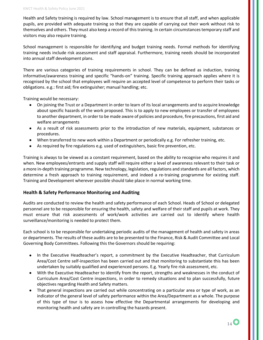Health and Safety training is required by law. School management is to ensure that all staff, and when applicable pupils, are provided with adequate training so that they are capable of carrying out their work without risk to themselves and others. They must also keep a record of this training. In certain circumstances temporary staff and visitors may also require training.

School management is responsible for identifying and budget training needs. Formal methods for identifying training needs include risk assessment and staff appraisal. Furthermore, training needs should be incorporated into annual staff development plans.

There are various categories of training requirements in school. They can be defined as induction, training informative/awareness training and specific "hands-on" training. Specific training approach applies where it is recognised by the school that employees will require an accepted level of competence to perform their tasks or obligations. e.g.: first aid; fire extinguisher; manual handling; etc.

Training would be necessary:

- On joining the Trust or a Department in order to learn of its local arrangements and to acquire knowledge about specific hazards of the work proposed. This is to apply to new employees or transfer of employees to another department, in order to be made aware of policies and procedure, fire precautions, first aid and welfare arrangements
- As a result of risk assessments prior to the introduction of new materials, equipment, substances or procedures.
- When transferred to new work within a Department or periodically e.g. For refresher training, etc.
- As required by fire regulations e.g. used of extinguishers, basic fire prevention, etc.

Training is always to be viewed as a constant requirement, based on the ability to recognise who requires it and when. New employees/entrants and supply staff will require either a level of awareness relevant to their task or a more in-depth training programme. New technology, legislation, regulations and standards are all factors, which determine a fresh approach to training requirement, and indeed a re-training programme for existing staff. Training and Development wherever possible should take place in normal working time.

#### **Health & Safety Performance Monitoring and Auditing**

Audits are conducted to review the health and safety performance of each School. Heads of School or delegated personnel are to be responsible for ensuring the health, safety and welfare of their staff and pupils at work. They must ensure that risk assessments of work/work activities are carried out to identify where health surveillance/monitoring is needed to protect them.

Each school is to be responsible for undertaking periodic audits of the management of health and safety in areas or departments. The results of these audits are to be presented to the Finance, Risk & Audit Committee and Local Governing Body Committees. Following this the Governors should be requiring:

- In the Executive Headteacher's report, a commitment by the Executive Headteacher, that Curriculum Area/Cost Centre self-inspection has been carried out and that monitoring to substantiate this has been undertaken by suitably qualified and experienced persons. E.g. Yearly fire risk assessment, etc.
- With the Executive Headteacher to identify from the report, strengths and weaknesses in the conduct of Curriculum Area/Cost Centre inspections, in order to remedy situations and to plan successfully, future objectives regarding Health and Safety matters.
- That general inspections are carried out while concentrating on a particular area or type of work, as an indicator of the general level of safety performance within the Area/Department as a whole. The purpose of this type of tour is to assess how effective the Departmental arrangements for developing and monitoring health and safety are in controlling the hazards present.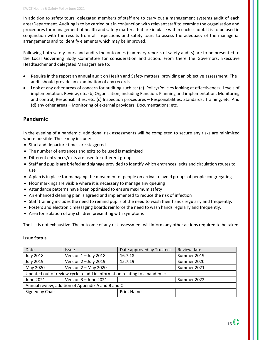In addition to safety tours, delegated members of staff are to carry out a management systems audit of each area/Department. Auditing is to be carried out in conjunction with relevant staff to examine the organisation and procedures for management of health and safety matters that are in place within each school. It is to be used in conjunction with the results from all inspections and safety tours to assess the adequacy of the managerial arrangements and to identify elements which may be improved.

Following both safety tours and audits the outcomes (summary reports of safety audits) are to be presented to the Local Governing Body Committee for consideration and action. From there the Governors; Executive Headteacher and delegated Managers are to:

- Require in the report an annual audit on Health and Safety matters, providing an objective assessment. The audit should provide an examination of any records.
- Look at any other areas of concern for auditing such as: (a) Policy/Policies looking at effectiveness; Levels of implementation; Review; etc. (b) Organisation; including Function, Planning and implementation, Monitoring and control; Responsibilities; etc. (c) Inspection procedures – Responsibilities; Standards; Training; etc. And (d) any other areas – Monitoring of external providers; Documentations; etc.

#### **Pandemic**

In the evening of a pandemic, additional risk assessments will be completed to secure any risks are minimized where possible. These may include:-

- Start and departure times are staggered
- The number of entrances and exits to be used is maximised
- Different entrances/exits are used for different groups
- Staff and pupils are briefed and signage provided to identify which entrances, exits and circulation routes to use
- A plan is in place for managing the movement of people on arrival to avoid groups of people congregating.
- Floor markings are visible where it is necessary to manage any queuing
- Attendance patterns have been optimised to ensure maximum safety
- An enhanced cleaning plan is agreed and implemented to reduce the risk of infection
- Staff training includes the need to remind pupils of the need to wash their hands regularly and frequently.
- Posters and electronic messaging boards reinforce the need to wash hands regularly and frequently.
- Area for isolation of any children presenting with symptoms

The list is not exhaustive. The outcome of any risk assessment will inform any other actions required to be taken.

#### **Issue Status**

| Date                                                                     | <b>Issue</b>           | Date approved by Trustees | Review date |
|--------------------------------------------------------------------------|------------------------|---------------------------|-------------|
| <b>July 2018</b>                                                         | Version 1 - July 2018  | 16.7.18                   | Summer 2019 |
| <b>July 2019</b>                                                         | Version 2 - July 2019  | 15.7.19                   | Summer 2020 |
| May 2020                                                                 | Version $2 - May 2020$ |                           | Summer 2021 |
| Updated out of review cycle to add in information relating to a pandemic |                        |                           |             |
| June 2021                                                                | Version 3 - June 2021  |                           | Summer 2022 |
| Annual review, addition of Appendix A and B and C                        |                        |                           |             |
| Signed by Chair                                                          |                        | <b>Print Name:</b>        |             |
|                                                                          |                        |                           |             |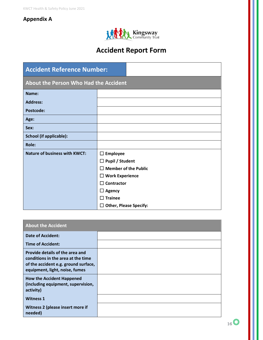## **Appendix A**



## **Accident Report Form**

| <b>Accident Reference Number:</b>     |                             |                               |
|---------------------------------------|-----------------------------|-------------------------------|
| About the Person Who Had the Accident |                             |                               |
| Name:                                 |                             |                               |
| <b>Address:</b>                       |                             |                               |
| Postcode:                             |                             |                               |
| Age:                                  |                             |                               |
| Sex:                                  |                             |                               |
| <b>School (if applicable):</b>        |                             |                               |
| <b>Role:</b>                          |                             |                               |
| <b>Nature of business with KWCT:</b>  | $\Box$ Employee             |                               |
|                                       | <b>Pupil / Student</b><br>□ |                               |
|                                       | П                           | <b>Member of the Public</b>   |
|                                       | $\Box$ Work Experience      |                               |
|                                       | Contractor<br>П             |                               |
|                                       | Agency<br>$\Box$            |                               |
|                                       | <b>Trainee</b><br>П         |                               |
|                                       | ப                           | <b>Other, Please Specify:</b> |

| <b>About the Accident</b>                                                                                                                       |  |
|-------------------------------------------------------------------------------------------------------------------------------------------------|--|
| <b>Date of Accident:</b>                                                                                                                        |  |
| <b>Time of Accident:</b>                                                                                                                        |  |
| Provide details of the area and<br>conditions in the area at the time<br>of the accident e.g. ground surface,<br>equipment, light, noise, fumes |  |
| <b>How the Accident Happened</b><br>(including equipment, supervision,<br>activity)                                                             |  |
| <b>Witness 1</b>                                                                                                                                |  |
| Witness 2 (please insert more if<br>needed)                                                                                                     |  |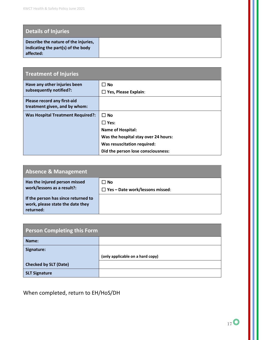| <b>Details of Injuries</b>                                                              |  |
|-----------------------------------------------------------------------------------------|--|
| Describe the nature of the injuries,<br>indicating the part(s) of the body<br>affected: |  |

| <b>Treatment of Injuries</b>                                 |                                      |
|--------------------------------------------------------------|--------------------------------------|
| Have any other injuries been<br>subsequently notified?:      | $\square$ No                         |
|                                                              | $\Box$ Yes, Please Explain:          |
| Please record any first-aid<br>treatment given, and by whom: |                                      |
| <b>Was Hospital Treatment Required?:</b>                     | $\Box$ No                            |
|                                                              | $\Box$ Yes:                          |
|                                                              | <b>Name of Hospital:</b>             |
|                                                              | Was the hospital stay over 24 hours: |
|                                                              | Was resuscitation required:          |
|                                                              | Did the person lose consciousness:   |

| <b>Absence &amp; Management</b>                                                      |                                                |
|--------------------------------------------------------------------------------------|------------------------------------------------|
| Has the injured person missed<br>work/lessons as a result?:                          | ∐ No<br>$\Box$ Yes - Date work/lessons missed: |
| If the person has since returned to<br>work, please state the date they<br>returned: |                                                |

| <b>Person Completing this Form</b> |                                  |
|------------------------------------|----------------------------------|
| Name:                              |                                  |
| Signature:                         |                                  |
|                                    | (only applicable on a hard copy) |
| <b>Checked by SLT (Date)</b>       |                                  |
| <b>SLT Signature</b>               |                                  |

When completed, return to EH/HoS/DH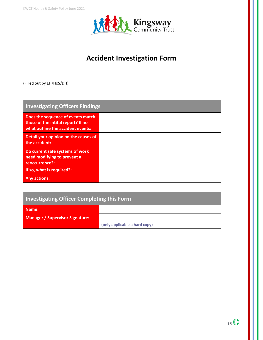

## **Accident Investigation Form**

(Filled out by EH/HoS/DH)

| <b>Investigating Officers Findings</b>                                                                       |  |
|--------------------------------------------------------------------------------------------------------------|--|
| Does the sequence of events match<br>those of the intital report? If no<br>what outline the accident events: |  |
| Detail your opinion on the causes of<br>the accident:                                                        |  |
| Do current safe systems of work<br>need modifying to prevent a<br>reoccurrence?:                             |  |
| If so, what is required?:                                                                                    |  |
| <b>Any actions:</b>                                                                                          |  |

## **Investigating Officer Completing this Form**

| Name:                                  |                               |
|----------------------------------------|-------------------------------|
| <b>Manager / Supervisor Signature:</b> |                               |
|                                        | (only applicable a hard copy) |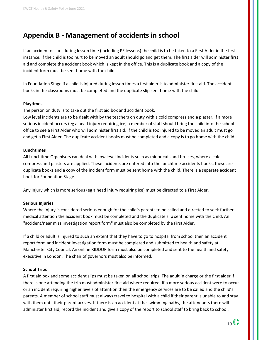## **Appendix B - Management of accidents in school**

If an accident occurs during lesson time (including PE lessons) the child is to be taken to a First Aider in the first instance. If the child is too hurt to be moved an adult should go and get them. The first aider will administer first aid and complete the accident book which is kept in the office. This is a duplicate book and a copy of the incident form must be sent home with the child.

In Foundation Stage if a child is injured during lesson times a first aider is to administer first aid. The accident books in the classrooms must be completed and the duplicate slip sent home with the child.

#### **Playtimes**

The person on duty is to take out the first aid box and accident book.

Low level incidents are to be dealt with by the teachers on duty with a cold compress and a plaster. If a more serious incident occurs (eg a head injury requiring ice) a member of staff should bring the child into the school office to see a First Aider who will administer first aid. If the child is too injured to be moved an adult must go and get a First Aider. The duplicate accident books must be completed and a copy is to go home with the child.

#### **Lunchtimes**

All Lunchtime Organisers can deal with low level incidents such as minor cuts and bruises, where a cold compress and plasters are applied. These incidents are entered into the lunchtime accidents books, these are duplicate books and a copy of the incident form must be sent home with the child. There is a separate accident book for Foundation Stage.

Any injury which is more serious (eg a head injury requiring ice) must be directed to a First Aider.

#### **Serious Injuries**

Where the injury is considered serious enough for the child's parents to be called and directed to seek further medical attention the accident book must be completed and the duplicate slip sent home with the child. An "accident/near miss investigation report form" must also be completed by the First Aider.

If a child or adult is injured to such an extent that they have to go to hospital from school then an accident report form and incident investigation form must be completed and submitted to health and safety at Manchester City Council. An online RIDDOR form must also be completed and sent to the health and safety executive in London. The chair of governors must also be informed.

#### **School Trips**

A first aid box and some accident slips must be taken on all school trips. The adult in charge or the first aider if there is one attending the trip must administer first aid where required. If a more serious accident were to occur or an incident requiring higher levels of attention then the emergency services are to be called and the child's parents. A member of school staff must always travel to hospital with a child if their parent is unable to and stay with them until their parent arrives. If there is an accident at the swimming baths, the attendants there will administer first aid, record the incident and give a copy of the report to school staff to bring back to school.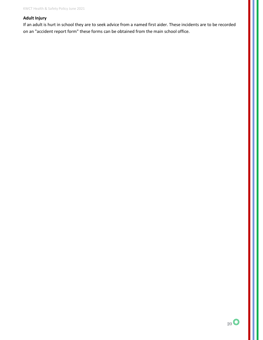#### **Adult Injury**

If an adult is hurt in school they are to seek advice from a named first aider. These incidents are to be recorded on an "accident report form" these forms can be obtained from the main school office.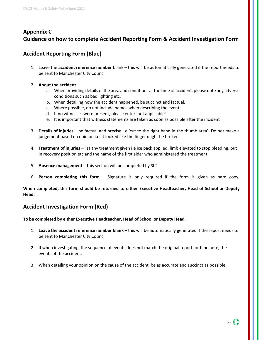### **Appendix C Guidance on how to complete Accident Reporting Form & Accident Investigation Form**

#### **Accident Reporting Form (Blue)**

- 1. Leave the **accident reference number** blank this will be automatically generated if the report needs to be sent to Manchester City Council
- 2. **About the accident**
	- a. When providing details of the area and conditions at the time of accident, please note any adverse conditions such as bad lighting etc.
	- b. When detailing how the accident happened, be succinct and factual.
	- c. Where possible, do not include names when describing the event
	- d. If no witnesses were present, please enter 'not applicable'
	- e. It is important that witness statements are taken as soon as possible after the incident
- 3. **Details of injuries** be factual and precise i.e 'cut to the right hand in the thumb area'. Do not make a judgement based on opinion i.e 'it looked like the finger might be broken'
- 4. **Treatment of injuries** list any treatment given i.e ice pack applied, limb elevated to stop bleeding, put in recovery position etc and the name of the first aider who administered the treatment.
- 5. **Absence management** this section will be completed by SLT
- 6. **Person completing this form** Signature is only required if the form is given as hard copy.

**When completed, this form should be returned to either Executive Headteacher, Head of School or Deputy Head.**

#### **Accident Investigation Form (Red)**

**To be completed by either Executive Headteacher, Head of School or Deputy Head.**

- 1. **Leave the accident reference number blank –** this will be automatically generated if the report needs to be sent to Manchester City Council
- 2. If when investigating, the sequence of events does not match the original report, outline here, the events of the accident.
- 3. When detailing your opinion on the cause of the accident, be as accurate and succinct as possible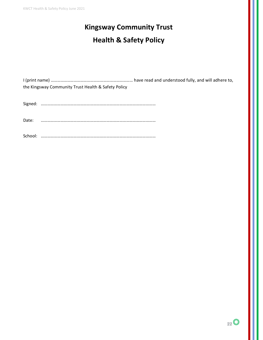# **Kingsway Community Trust Health & Safety Policy**

I (print name) ………………………………………………………………… have read and understood fully, and will adhere to, the Kingsway Community Trust Health & Safety Policy

Signed: ……………………………………………………………………………………………

Date: ……………………………………………………………………………………………

School: ……………………………………………………………………………………………